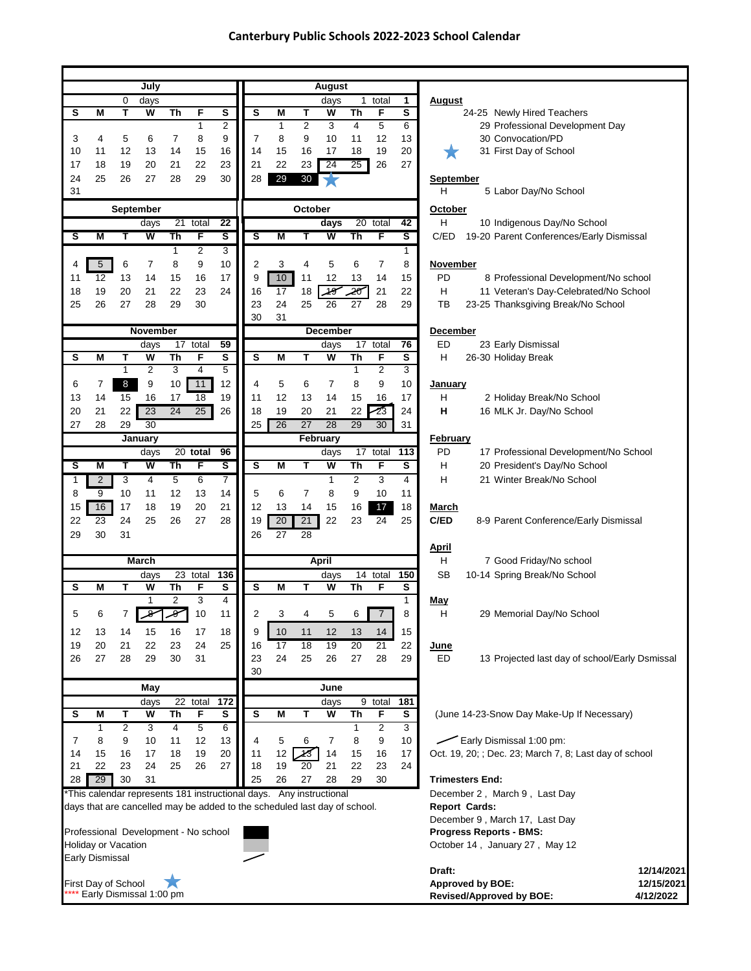## **Canterbury Public Schools 2022-2023 School Calendar**

|                                      |                        |                | July                    |                 |                |                     |                                                                                                                                                 |                   |                     | August              |                |                                |              |                                                               |
|--------------------------------------|------------------------|----------------|-------------------------|-----------------|----------------|---------------------|-------------------------------------------------------------------------------------------------------------------------------------------------|-------------------|---------------------|---------------------|----------------|--------------------------------|--------------|---------------------------------------------------------------|
|                                      |                        | 0              | days                    |                 |                |                     |                                                                                                                                                 |                   |                     | days                |                | 1 total                        | 1            | <u>August</u>                                                 |
| s                                    | M                      | T              | W                       | Th              | F<br>1         | S<br>$\overline{2}$ | s                                                                                                                                               | M<br>$\mathbf{1}$ | Т<br>$\overline{c}$ | W<br>3              | Th<br>4        | F<br>5                         | S<br>6       | 24-25 Newly Hired Teachers<br>29 Professional Development Day |
| 3                                    | 4                      | 5              | 6                       | $\overline{7}$  | 8              | 9                   | $\overline{7}$                                                                                                                                  | 8                 | 9                   | 10                  | 11             | 12                             | 13           | 30 Convocation/PD                                             |
| 10                                   | 11                     | 12             | 13                      | 14              | 15             | 16                  | 14                                                                                                                                              | 15                | 16                  | 17                  | 18             | 19                             | 20           | 31 First Day of School                                        |
| 17                                   | 18                     | 19             | 20                      | 21              | 22             | 23                  | 21                                                                                                                                              | 22                | 23                  | 24                  | 25             | 26                             | 27           |                                                               |
| 24                                   | 25                     | 26             | 27                      | 28              | 29             | 30                  | 28                                                                                                                                              | 29                | 30                  |                     |                |                                |              | <b>September</b>                                              |
| 31                                   |                        |                |                         |                 |                |                     |                                                                                                                                                 |                   |                     |                     |                |                                |              | 5 Labor Day/No School<br>H                                    |
|                                      |                        |                | September               |                 |                |                     |                                                                                                                                                 |                   | October             |                     |                |                                |              | October                                                       |
|                                      |                        |                | days                    | $\overline{21}$ | total          | 22                  |                                                                                                                                                 |                   |                     | days                |                | 20 total                       | 42           | H<br>10 Indigenous Day/No School                              |
| s                                    | Μ                      | Т              | W                       | Th              | F              | ड                   | s                                                                                                                                               | Μ                 | т                   | W                   | Th             | F                              | ड            | C/ED 19-20 Parent Conferences/Early Dismissal                 |
|                                      |                        |                |                         | $\mathbf{1}$    | $\overline{2}$ | 3                   |                                                                                                                                                 |                   |                     |                     |                |                                | 1            |                                                               |
| 4                                    | $\sqrt{5}$             | 6              | 7                       | 8               | 9              | 10                  | $\overline{2}$                                                                                                                                  | 3                 | 4                   | 5                   | 6              | 7                              | 8            | <b>November</b>                                               |
| 11                                   | 12                     | 13             | 14                      | 15              | 16             | 17                  | 9                                                                                                                                               | 10                | 11                  | 12                  | 13             | 14                             | 15           | PD<br>8 Professional Development/No school                    |
| 18<br>25                             | 19                     | 20             | 21                      | 22<br>29        | 23             | 24                  | 16                                                                                                                                              | 17                | 18<br>25            | $\frac{1}{4}$<br>26 | -20<br>27      | 21<br>28                       | 22           | H<br>11 Veteran's Day-Celebrated/No School                    |
|                                      | 26                     | 27             | 28                      |                 | 30             |                     | 23<br>30                                                                                                                                        | 24<br>31          |                     |                     |                |                                | 29           | TB<br>23-25 Thanksgiving Break/No School                      |
|                                      |                        |                | November                |                 |                |                     |                                                                                                                                                 |                   |                     | <b>December</b>     |                |                                |              | December                                                      |
|                                      |                        |                | days                    | 17              | total          | 59                  |                                                                                                                                                 |                   |                     | days                | 17             | total                          | 76           | ED<br>23 Early Dismissal                                      |
| s                                    | M                      | т              | W                       | Th              | F              | S                   | S                                                                                                                                               | M                 | т                   | W                   | Th             | F                              | s            | H<br>26-30 Holiday Break                                      |
|                                      |                        | $\mathbf{1}$   | $\overline{2}$          | 3               | $\overline{4}$ | 5                   |                                                                                                                                                 |                   |                     |                     | $\mathbf{1}$   | $\overline{2}$                 | 3            |                                                               |
| 6                                    | 7                      | 8              | 9                       | 10              | 11             | 12                  | 4                                                                                                                                               | 5                 | 6                   | $\overline{7}$      | 8              | 9                              | 10           | January                                                       |
| 13                                   | 14                     | 15             | 16                      | 17              | 18             | 19                  | 11                                                                                                                                              | 12                | 13                  | 14                  | 15             | 16                             | 17           | Н<br>2 Holiday Break/No School                                |
| 20<br>27                             | 21<br>28               | 22<br>29       | 23<br>30                | 24              | 25             | 26                  | 18<br>25                                                                                                                                        | 19<br>26          | 20<br>27            | 21<br>28            | 22<br>29       | 23<br>30                       | 24<br>31     | н<br>16 MLK Jr. Day/No School                                 |
|                                      |                        |                | <b>January</b>          |                 |                |                     |                                                                                                                                                 |                   |                     | February            |                |                                |              | <b>February</b>                                               |
|                                      |                        |                | days                    |                 | 20 total       | 96                  |                                                                                                                                                 |                   |                     | days                |                | 17 total                       | 113          | PD<br>17 Professional Development/No School                   |
| s                                    | Μ                      | т              | W                       | Th              | F              | S                   | s                                                                                                                                               | M                 | Т                   | W                   | Th             | F                              | s            | н<br>20 President's Day/No School                             |
| 1                                    | $\overline{2}$         | 3              | 4                       | 5               | 6              | 7                   |                                                                                                                                                 |                   |                     | 1                   | $\overline{2}$ | 3                              | 4            | н<br>21 Winter Break/No School                                |
| 8                                    | 9                      | 10             | 11                      | 12              | 13             | 14                  | 5                                                                                                                                               | 6                 | 7                   | 8                   | 9              | 10                             | 11           |                                                               |
| 15                                   | 16                     | 17             | 18                      | 19              | 20             | 21                  | 12                                                                                                                                              | 13                | 14                  | 15                  | 16             | 17                             | 18           | <u>March</u>                                                  |
| 22                                   | 23                     | 24             | 25                      | 26              | 27             | 28                  | 19                                                                                                                                              | 20                | 21                  | 22                  | 23             | 24                             | 25           | C/ED<br>8-9 Parent Conference/Early Dismissal                 |
| 29                                   | 30                     | 31             |                         |                 |                |                     | 26                                                                                                                                              | 27                | 28                  |                     |                |                                |              |                                                               |
|                                      |                        |                | March                   |                 |                |                     |                                                                                                                                                 |                   |                     | <b>April</b>        |                |                                |              | <b>April</b><br>H<br>7 Good Friday/No school                  |
|                                      |                        |                | days                    |                 | 23 total       | 136                 |                                                                                                                                                 |                   |                     | days                |                | 14 total                       | 150          | SB<br>10-14 Spring Break/No School                            |
| s                                    | Μ                      | т              | W                       | Th              | F              | s                   | s                                                                                                                                               | M                 | т                   | W                   | Th             | F                              | s            |                                                               |
|                                      |                        |                | 1                       | $\overline{2}$  | 3              | 4                   |                                                                                                                                                 |                   |                     |                     |                |                                | $\mathbf{1}$ | <u>May</u>                                                    |
| 5                                    | 6                      | 7              |                         |                 | 10             | 11                  | 2                                                                                                                                               | 3                 | 4                   | 5                   | 6              | $\overline{7}$                 | 8            | н<br>29 Memorial Day/No School                                |
| 12                                   | 13                     | 14             | 15                      | 16              | 17             | 18                  | 9                                                                                                                                               | 10                | 11                  | 12                  | 13             | 14                             | 15           |                                                               |
| 19                                   | 20                     | 21             | 22                      | 23              | 24             | 25                  | 16                                                                                                                                              | 17                | $\overline{18}$     | 19                  | 20             | 21                             | 22           | <u>June</u>                                                   |
| 26                                   | 27                     | 28             | 29                      | 30              | 31             |                     | 23                                                                                                                                              | 24                | 25                  | 26                  | 27             | 28                             | 29           | ED<br>13 Projected last day of school/Early Dsmissal          |
|                                      |                        |                |                         |                 |                |                     | 30                                                                                                                                              |                   |                     | June                |                |                                |              |                                                               |
|                                      |                        |                | May<br>days             | 22              | total          | 172                 |                                                                                                                                                 |                   |                     | days                |                | 9 total                        | 181          |                                                               |
| s                                    | Μ                      | т              | W                       | Th              | F              | S                   | s                                                                                                                                               | М                 | т                   | W                   | Th             | F                              | s            | (June 14-23-Snow Day Make-Up If Necessary)                    |
|                                      | 1                      | $\overline{2}$ | 3                       | 4               | $\overline{5}$ | $6\overline{6}$     |                                                                                                                                                 |                   |                     |                     | $\mathbf{1}$   | 2                              | 3            |                                                               |
| 7                                    | 8                      | 9              | 10                      | 11              | 12             | 13                  | 4                                                                                                                                               | 5                 | 6                   | 7                   | 8              | 9                              | $10$         | Early Dismissal 1:00 pm:                                      |
| 14                                   | 15                     | 16             | 17                      | 18              | 19             | 20                  | 11                                                                                                                                              | 12                | ككمر                | 14                  | 15             | 16                             | 17           | Oct. 19, 20; ; Dec. 23; March 7, 8; Last day of school        |
| 21                                   | 22                     | 23             | 24                      | 25              | 26             | 27                  | 18                                                                                                                                              | 19                | 20                  | 21                  | 22             | 23                             | 24           |                                                               |
| 28                                   | 29                     | 30             | 31                      |                 |                |                     | 25                                                                                                                                              | 26                | 27                  | 28                  | 29             | 30                             |              | <b>Trimesters End:</b>                                        |
|                                      |                        |                |                         |                 |                |                     | This calendar represents 181 instructional days. Any instructional<br>days that are cancelled may be added to the scheduled last day of school. |                   |                     |                     |                |                                |              | December 2, March 9, Last Day<br><b>Report Cards:</b>         |
|                                      |                        |                |                         |                 |                |                     |                                                                                                                                                 |                   |                     |                     |                |                                |              | December 9, March 17, Last Day                                |
| Professional Development - No school |                        |                |                         |                 |                |                     |                                                                                                                                                 |                   |                     |                     |                | <b>Progress Reports - BMS:</b> |              |                                                               |
|                                      | Holiday or Vacation    |                |                         |                 |                |                     |                                                                                                                                                 |                   |                     |                     |                |                                |              | October 14, January 27, May 12                                |
|                                      | <b>Early Dismissal</b> |                |                         |                 |                |                     |                                                                                                                                                 |                   |                     |                     |                |                                |              | Draft:<br>12/14/2021                                          |
|                                      | First Day of School    |                |                         |                 |                |                     |                                                                                                                                                 |                   |                     |                     |                |                                |              | <b>Approved by BOE:</b><br>12/15/2021                         |
|                                      |                        |                | Early Dismissal 1:00 pm |                 |                |                     |                                                                                                                                                 |                   |                     |                     |                |                                |              | <b>Revised/Approved by BOE:</b><br>4/12/2022                  |
|                                      |                        |                |                         |                 |                |                     |                                                                                                                                                 |                   |                     |                     |                |                                |              |                                                               |